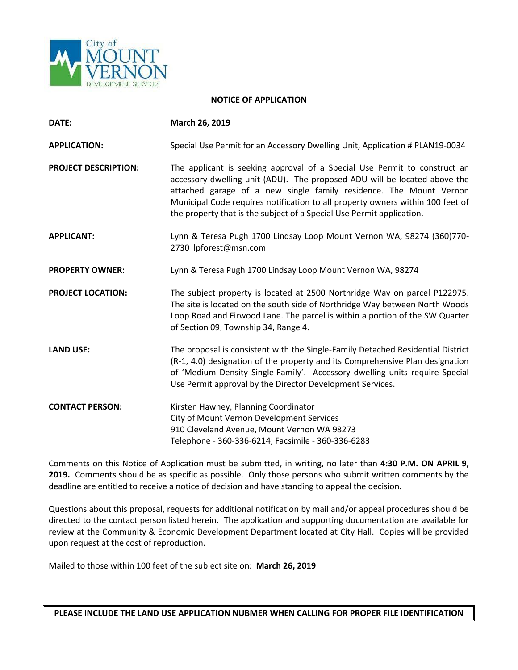

## **NOTICE OF APPLICATION**

| DATE:                       | March 26, 2019                                                                                                                                                                                                                                                                                                                                                                          |
|-----------------------------|-----------------------------------------------------------------------------------------------------------------------------------------------------------------------------------------------------------------------------------------------------------------------------------------------------------------------------------------------------------------------------------------|
| <b>APPLICATION:</b>         | Special Use Permit for an Accessory Dwelling Unit, Application # PLAN19-0034                                                                                                                                                                                                                                                                                                            |
| <b>PROJECT DESCRIPTION:</b> | The applicant is seeking approval of a Special Use Permit to construct an<br>accessory dwelling unit (ADU). The proposed ADU will be located above the<br>attached garage of a new single family residence. The Mount Vernon<br>Municipal Code requires notification to all property owners within 100 feet of<br>the property that is the subject of a Special Use Permit application. |
| <b>APPLICANT:</b>           | Lynn & Teresa Pugh 1700 Lindsay Loop Mount Vernon WA, 98274 (360)770-<br>2730 lpforest@msn.com                                                                                                                                                                                                                                                                                          |
| <b>PROPERTY OWNER:</b>      | Lynn & Teresa Pugh 1700 Lindsay Loop Mount Vernon WA, 98274                                                                                                                                                                                                                                                                                                                             |
| <b>PROJECT LOCATION:</b>    | The subject property is located at 2500 Northridge Way on parcel P122975.<br>The site is located on the south side of Northridge Way between North Woods<br>Loop Road and Firwood Lane. The parcel is within a portion of the SW Quarter<br>of Section 09, Township 34, Range 4.                                                                                                        |
| <b>LAND USE:</b>            | The proposal is consistent with the Single-Family Detached Residential District<br>(R-1, 4.0) designation of the property and its Comprehensive Plan designation<br>of 'Medium Density Single-Family'. Accessory dwelling units require Special<br>Use Permit approval by the Director Development Services.                                                                            |
| <b>CONTACT PERSON:</b>      | Kirsten Hawney, Planning Coordinator<br>City of Mount Vernon Development Services<br>910 Cleveland Avenue, Mount Vernon WA 98273<br>Telephone - 360-336-6214; Facsimile - 360-336-6283                                                                                                                                                                                                  |

Comments on this Notice of Application must be submitted, in writing, no later than **4:30 P.M. ON APRIL 9, 2019.** Comments should be as specific as possible. Only those persons who submit written comments by the deadline are entitled to receive a notice of decision and have standing to appeal the decision.

Questions about this proposal, requests for additional notification by mail and/or appeal procedures should be directed to the contact person listed herein. The application and supporting documentation are available for review at the Community & Economic Development Department located at City Hall. Copies will be provided upon request at the cost of reproduction.

Mailed to those within 100 feet of the subject site on: **March 26, 2019**

**PLEASE INCLUDE THE LAND USE APPLICATION NUBMER WHEN CALLING FOR PROPER FILE IDENTIFICATION**